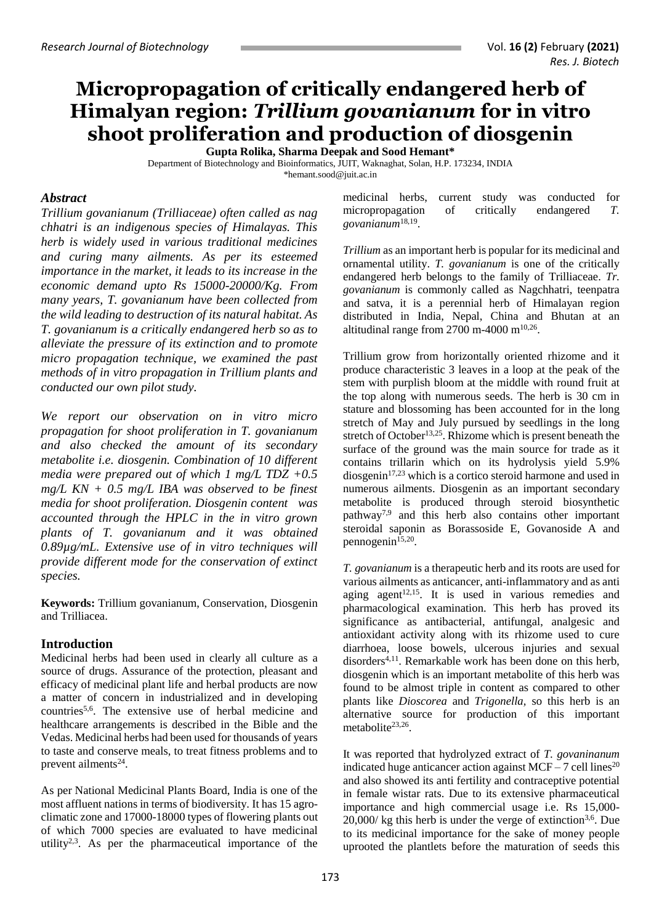# **Micropropagation of critically endangered herb of Himalyan region:** *Trillium govanianum* **for in vitro shoot proliferation and production of diosgenin**

**Gupta Rolika, Sharma Deepak and Sood Hemant\***

Department of Biotechnology and Bioinformatics, JUIT, Waknaghat, Solan, H.P. 173234, INDIA \*hemant.sood@juit.ac.in

#### *Abstract*

*Trillium govanianum (Trilliaceae) often called as nag chhatri is an indigenous species of Himalayas. This herb is widely used in various traditional medicines and curing many ailments. As per its esteemed importance in the market, it leads to its increase in the economic demand upto Rs 15000-20000/Kg. From many years, T. govanianum have been collected from the wild leading to destruction of its natural habitat. As T. govanianum is a critically endangered herb so as to alleviate the pressure of its extinction and to promote micro propagation technique, we examined the past methods of in vitro propagation in Trillium plants and conducted our own pilot study.* 

*We report our observation on in vitro micro propagation for shoot proliferation in T. govanianum and also checked the amount of its secondary metabolite i.e. diosgenin. Combination of 10 different media were prepared out of which 1 mg/L TDZ +0.5 mg/L KN + 0.5 mg/L IBA was observed to be finest media for shoot proliferation. Diosgenin content was accounted through the HPLC in the in vitro grown plants of T. govanianum and it was obtained 0.89µg/mL. Extensive use of in vitro techniques will provide different mode for the conservation of extinct species.*

**Keywords:** Trillium govanianum, Conservation, Diosgenin and Trilliacea.

## **Introduction**

Medicinal herbs had been used in clearly all culture as a source of drugs. Assurance of the protection, pleasant and efficacy of medicinal plant life and herbal products are now a matter of concern in industrialized and in developing countries5,6 . The extensive use of herbal medicine and healthcare arrangements is described in the Bible and the Vedas. Medicinal herbs had been used for thousands of years to taste and conserve meals, to treat fitness problems and to prevent ailments<sup>24</sup>.

As per National Medicinal Plants Board, India is one of the most affluent nations in terms of biodiversity. It has 15 agroclimatic zone and 17000-18000 types of flowering plants out of which 7000 species are evaluated to have medicinal utility<sup>2,3</sup>. As per the pharmaceutical importance of the

medicinal herbs, current study was conducted for micropropagation of critically endangered *T. govanianum*18,19 .

*Trillium* as an important herb is popular for its medicinal and ornamental utility. *T. govanianum* is one of the critically endangered herb belongs to the family of Trilliaceae. *Tr. govanianum* is commonly called as Nagchhatri, teenpatra and satva, it is a perennial herb of Himalayan region distributed in India, Nepal, China and Bhutan at an altitudinal range from 2700 m-4000 m $^{10,26}$ .

Trillium grow from horizontally oriented rhizome and it produce characteristic 3 leaves in a loop at the peak of the stem with purplish bloom at the middle with round fruit at the top along with numerous seeds. The herb is 30 cm in stature and blossoming has been accounted for in the long stretch of May and July pursued by seedlings in the long stretch of October<sup>13,25</sup>. Rhizome which is present beneath the surface of the ground was the main source for trade as it contains trillarin which on its hydrolysis yield 5.9% diosgenin<sup>17,23</sup> which is a cortico steroid harmone and used in numerous ailments. Diosgenin as an important secondary metabolite is produced through steroid biosynthetic pathway7,9 and this herb also contains other important steroidal saponin as Borassoside E, Govanoside A and pennogenin<sup>15,20</sup>.

*T. govanianum* is a therapeutic herb and its roots are used for various ailments as anticancer, anti-inflammatory and as anti aging agent<sup>12,15</sup>. It is used in various remedies and pharmacological examination. This herb has proved its significance as antibacterial, antifungal, analgesic and antioxidant activity along with its rhizome used to cure diarrhoea, loose bowels, ulcerous injuries and sexual  $disorders<sup>4,11</sup>$ . Remarkable work has been done on this herb, diosgenin which is an important metabolite of this herb was found to be almost triple in content as compared to other plants like *Dioscorea* and *Trigonella,* so this herb is an alternative source for production of this important metabolite<sup>23,26</sup>.

It was reported that hydrolyzed extract of *T. govaninanum*  indicated huge anticancer action against  $MCF - 7$  cell lines<sup>20</sup> and also showed its anti fertility and contraceptive potential in female wistar rats. Due to its extensive pharmaceutical importance and high commercial usage i.e. Rs 15,000-  $20,000$ / kg this herb is under the verge of extinction<sup>3,6</sup>. Due to its medicinal importance for the sake of money people uprooted the plantlets before the maturation of seeds this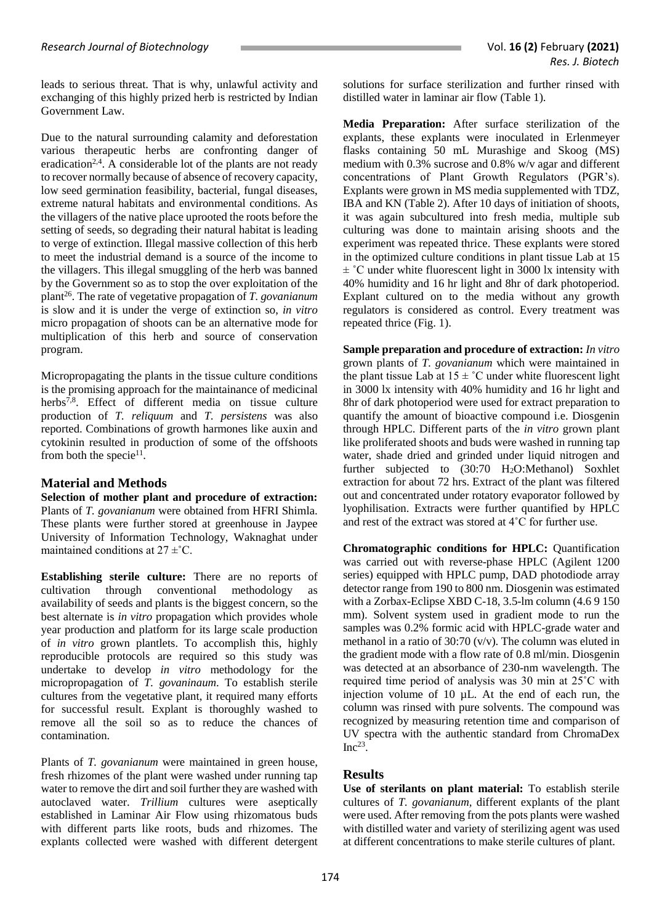leads to serious threat. That is why, unlawful activity and exchanging of this highly prized herb is restricted by Indian Government Law.

Due to the natural surrounding calamity and deforestation various therapeutic herbs are confronting danger of eradication<sup>2,4</sup>. A considerable lot of the plants are not ready to recover normally because of absence of recovery capacity, low seed germination feasibility, bacterial, fungal diseases, extreme natural habitats and environmental conditions. As the villagers of the native place uprooted the roots before the setting of seeds, so degrading their natural habitat is leading to verge of extinction. Illegal massive collection of this herb to meet the industrial demand is a source of the income to the villagers. This illegal smuggling of the herb was banned by the Government so as to stop the over exploitation of the plant<sup>26</sup>. The rate of vegetative propagation of *T. govanianum* is slow and it is under the verge of extinction so, *in vitro* micro propagation of shoots can be an alternative mode for multiplication of this herb and source of conservation program.

Micropropagating the plants in the tissue culture conditions is the promising approach for the maintainance of medicinal herbs<sup>7,8</sup>. Effect of different media on tissue culture production of *T. reliquum* and *T. persistens* was also reported. Combinations of growth harmones like auxin and cytokinin resulted in production of some of the offshoots from both the specie<sup>11</sup>.

## **Material and Methods**

**Selection of mother plant and procedure of extraction:** Plants of *T. govanianum* were obtained from HFRI Shimla. These plants were further stored at greenhouse in Jaypee University of Information Technology, Waknaghat under maintained conditions at  $27 \pm C$ .

**Establishing sterile culture:** There are no reports of cultivation through conventional methodology as availability of seeds and plants is the biggest concern, so the best alternate is *in vitro* propagation which provides whole year production and platform for its large scale production of *in vitro* grown plantlets. To accomplish this, highly reproducible protocols are required so this study was undertake to develop *in vitro* methodology for the micropropagation of *T. govaninaum*. To establish sterile cultures from the vegetative plant, it required many efforts for successful result. Explant is thoroughly washed to remove all the soil so as to reduce the chances of contamination.

Plants of *T. govanianum* were maintained in green house, fresh rhizomes of the plant were washed under running tap water to remove the dirt and soil further they are washed with autoclaved water. *Trillium* cultures were aseptically established in Laminar Air Flow using rhizomatous buds with different parts like roots, buds and rhizomes. The explants collected were washed with different detergent solutions for surface sterilization and further rinsed with distilled water in laminar air flow (Table 1).

**Media Preparation:** After surface sterilization of the explants, these explants were inoculated in Erlenmeyer flasks containing 50 mL Murashige and Skoog (MS) medium with 0.3% sucrose and 0.8% w/v agar and different concentrations of Plant Growth Regulators (PGR's). Explants were grown in MS media supplemented with TDZ, IBA and KN (Table 2). After 10 days of initiation of shoots, it was again subcultured into fresh media, multiple sub culturing was done to maintain arising shoots and the experiment was repeated thrice. These explants were stored in the optimized culture conditions in plant tissue Lab at 15  $\pm$  °C under white fluorescent light in 3000 lx intensity with 40% humidity and 16 hr light and 8hr of dark photoperiod. Explant cultured on to the media without any growth regulators is considered as control. Every treatment was repeated thrice (Fig. 1).

**Sample preparation and procedure of extraction:** *In vitro* grown plants of *T. govanianum* which were maintained in the plant tissue Lab at  $15 \pm \degree C$  under white fluorescent light in 3000 lx intensity with 40% humidity and 16 hr light and 8hr of dark photoperiod were used for extract preparation to quantify the amount of bioactive compound i.e. Diosgenin through HPLC. Different parts of the *in vitro* grown plant like proliferated shoots and buds were washed in running tap water, shade dried and grinded under liquid nitrogen and further subjected to (30:70 H2O:Methanol) Soxhlet extraction for about 72 hrs. Extract of the plant was filtered out and concentrated under rotatory evaporator followed by lyophilisation. Extracts were further quantified by HPLC and rest of the extract was stored at 4˚C for further use.

**Chromatographic conditions for HPLC:** Quantification was carried out with reverse-phase HPLC (Agilent 1200 series) equipped with HPLC pump, DAD photodiode array detector range from 190 to 800 nm. Diosgenin was estimated with a Zorbax-Eclipse XBD C-18, 3.5-lm column (4.6 9 150 mm). Solvent system used in gradient mode to run the samples was 0.2% formic acid with HPLC-grade water and methanol in a ratio of 30:70 (v/v). The column was eluted in the gradient mode with a flow rate of 0.8 ml/min. Diosgenin was detected at an absorbance of 230-nm wavelength. The required time period of analysis was 30 min at 25˚C with injection volume of 10 µL. At the end of each run, the column was rinsed with pure solvents. The compound was recognized by measuring retention time and comparison of UV spectra with the authentic standard from ChromaDex  $Inc^{23}$ .

## **Results**

**Use of sterilants on plant material:** To establish sterile cultures of *T. govanianum,* different explants of the plant were used. After removing from the pots plants were washed with distilled water and variety of sterilizing agent was used at different concentrations to make sterile cultures of plant.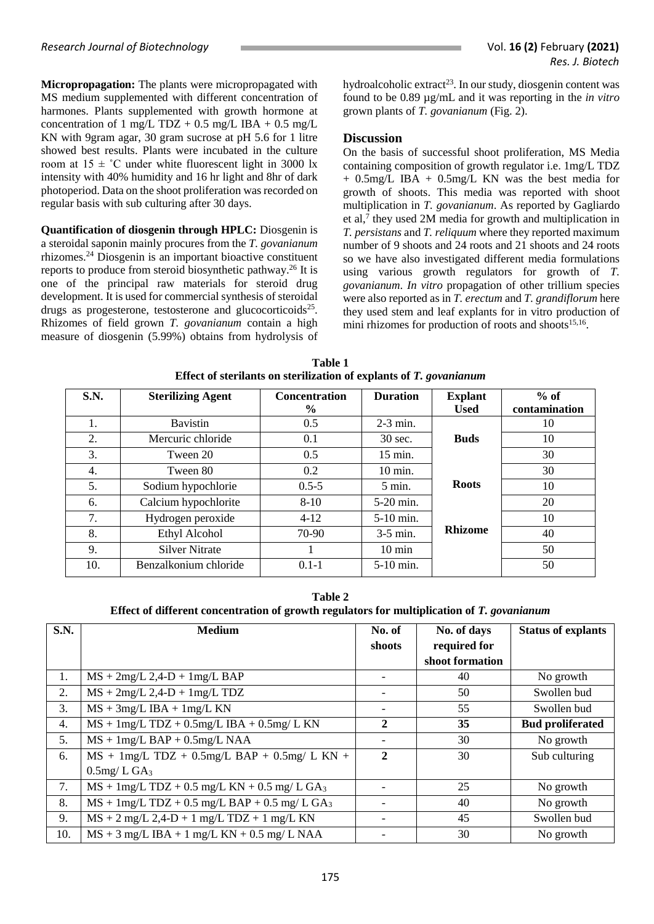**Micropropagation:** The plants were micropropagated with MS medium supplemented with different concentration of harmones. Plants supplemented with growth hormone at concentration of 1 mg/L TDZ + 0.5 mg/L IBA + 0.5 mg/L KN with 9gram agar, 30 gram sucrose at pH 5.6 for 1 litre showed best results. Plants were incubated in the culture room at  $15 \pm \degree C$  under white fluorescent light in 3000 lx intensity with 40% humidity and 16 hr light and 8hr of dark photoperiod. Data on the shoot proliferation was recorded on regular basis with sub culturing after 30 days.

**Quantification of diosgenin through HPLC:** Diosgenin is a steroidal saponin mainly procures from the *T. govanianum* rhizomes. <sup>24</sup> Diosgenin is an important bioactive constituent reports to produce from steroid biosynthetic pathway. <sup>26</sup> It is one of the principal raw materials for steroid drug development. It is used for commercial synthesis of steroidal drugs as progesterone, testosterone and glucocorticoids<sup>25</sup>. Rhizomes of field grown *T. govanianum* contain a high measure of diosgenin (5.99%) obtains from hydrolysis of

hydroalcoholic extract<sup>23</sup>. In our study, diosgenin content was found to be 0.89 µg/mL and it was reporting in the *in vitro* grown plants of *T. govanianum* (Fig. 2).

#### **Discussion**

On the basis of successful shoot proliferation, MS Media containing composition of growth regulator i.e. 1mg/L TDZ + 0.5mg/L IBA + 0.5mg/L KN was the best media for growth of shoots. This media was reported with shoot multiplication in *T. govanianum*. As reported by Gagliardo et al,<sup>7</sup> they used 2M media for growth and multiplication in *T. persistans* and *T. reliquum* where they reported maximum number of 9 shoots and 24 roots and 21 shoots and 24 roots so we have also investigated different media formulations using various growth regulators for growth of *T. govanianum*. *In vitro* propagation of other trillium species were also reported as in *T. erectum* and *T. grandiflorum* here they used stem and leaf explants for in vitro production of mini rhizomes for production of roots and shoots<sup>15,16</sup>.

| S.N. | <b>Sterilizing Agent</b> | <b>Concentration</b> | <b>Duration</b>    | <b>Explant</b> | $%$ of        |
|------|--------------------------|----------------------|--------------------|----------------|---------------|
|      |                          | $\frac{6}{9}$        |                    | <b>Used</b>    | contamination |
| 1.   | <b>Bavistin</b>          | 0.5                  | $2-3$ min.         |                | 10            |
| 2.   | Mercuric chloride        | 0.1                  | 30 sec.            | <b>Buds</b>    | 10            |
| 3.   | Tween 20                 | 0.5                  | $15$ min.          |                | 30            |
| 4.   | Tween 80                 | 0.2                  | $10 \text{ min}$ . |                | 30            |
| 5.   | Sodium hypochlorie       | $0.5 - 5$            | $5 \text{ min.}$   | <b>Roots</b>   | 10            |
| 6.   | Calcium hypochlorite     | $8-10$               | $5-20$ min.        |                | 20            |
| 7.   | Hydrogen peroxide        | $4-12$               | $5-10$ min.        |                | 10            |
| 8.   | <b>Ethyl Alcohol</b>     | 70-90                | $3-5$ min.         | <b>Rhizome</b> | 40            |
| 9.   | <b>Silver Nitrate</b>    |                      | $10 \text{ min}$   |                | 50            |
| 10.  | Benzalkonium chloride    | $0.1 - 1$            | 5-10 min.          |                | 50            |

**Table 1 Effect of sterilants on sterilization of explants of** *T. govanianum*

**Table 2 Effect of different concentration of growth regulators for multiplication of** *T. govanianum*

| <b>S.N.</b> | <b>Medium</b>                                  | No. of                   | No. of days     | <b>Status of explants</b> |
|-------------|------------------------------------------------|--------------------------|-----------------|---------------------------|
|             |                                                | shoots                   | required for    |                           |
|             |                                                |                          | shoot formation |                           |
| 1.          | $MS + 2mg/L$ 2,4-D + 1mg/L BAP                 | $\overline{\phantom{a}}$ | 40              | No growth                 |
| 2.          | $MS + 2mg/L$ 2,4-D + 1mg/L TDZ                 | $\overline{\phantom{a}}$ | 50              | Swollen bud               |
| 3.          | $MS + 3mg/L$ IBA + 1mg/L KN                    | $\overline{\phantom{a}}$ | 55              | Swollen bud               |
| 4.          | $MS + 1mg/L TDZ + 0.5mg/L IBA + 0.5mg/L KN$    | $\mathbf{2}$             | 35              | <b>Bud proliferated</b>   |
| 5.          | $MS + 1mg/L$ BAP + 0.5mg/L NAA                 | $\overline{\phantom{a}}$ | 30              | No growth                 |
| 6.          | $MS + 1mg/L TDZ + 0.5mg/L BAP + 0.5mg/L KN +$  | $\mathbf{2}$             | 30              | Sub culturing             |
|             | $0.5$ mg/LGA <sub>3</sub>                      |                          |                 |                           |
| 7.          | $MS + 1mg/L TDZ + 0.5 mg/L KN + 0.5 mg/L GA3$  | $\overline{\phantom{0}}$ | 25              | No growth                 |
| 8.          | $MS + 1mg/L TDZ + 0.5 mg/L BAP + 0.5 mg/L GA3$ | $\overline{\phantom{0}}$ | 40              | No growth                 |
| 9.          | $MS + 2$ mg/L 2,4-D + 1 mg/L TDZ + 1 mg/L KN   | $\overline{\phantom{a}}$ | 45              | Swollen bud               |
| 10.         | $MS + 3$ mg/L IBA + 1 mg/L KN + 0.5 mg/ L NAA  | $\overline{\phantom{a}}$ | 30              | No growth                 |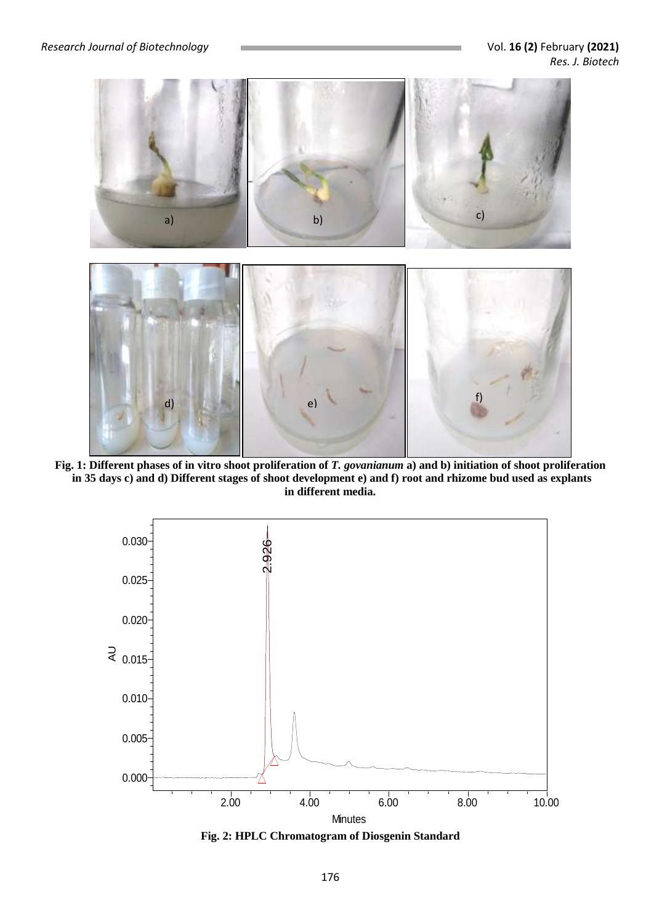

**Fig. 1: Different phases of in vitro shoot proliferation of** *T. govanianum* **a) and b) initiation of shoot proliferation in 35 days c) and d) Different stages of shoot development e) and f) root and rhizome bud used as explants in different media.**



**Fig. 2: HPLC Chromatogram of Diosgenin Standard**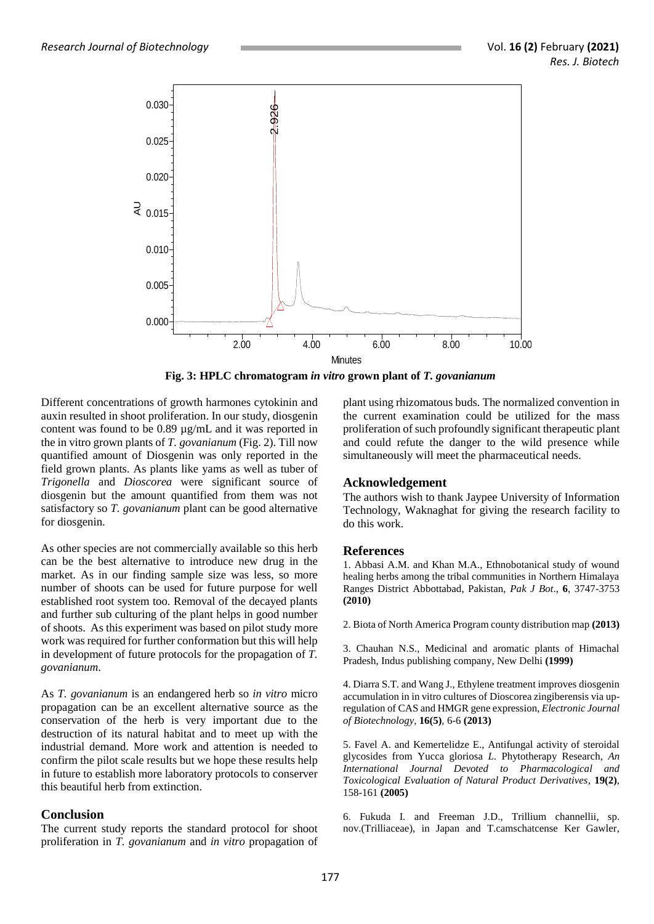

**Fig. 3: HPLC chromatogram** *in vitro* **grown plant of** *T. govanianum*

Different concentrations of growth harmones cytokinin and auxin resulted in shoot proliferation. In our study, diosgenin content was found to be 0.89 µg/mL and it was reported in the in vitro grown plants of *T. govanianum* (Fig. 2). Till now quantified amount of Diosgenin was only reported in the field grown plants. As plants like yams as well as tuber of *Trigonella* and *Dioscorea* were significant source of diosgenin but the amount quantified from them was not satisfactory so *T. govanianum* plant can be good alternative for diosgenin.

As other species are not commercially available so this herb can be the best alternative to introduce new drug in the market. As in our finding sample size was less, so more number of shoots can be used for future purpose for well established root system too. Removal of the decayed plants and further sub culturing of the plant helps in good number of shoots. As this experiment was based on pilot study more work was required for further conformation but this will help in development of future protocols for the propagation of *T. govanianum*.

As *T. govanianum* is an endangered herb so *in vitro* micro propagation can be an excellent alternative source as the conservation of the herb is very important due to the destruction of its natural habitat and to meet up with the industrial demand. More work and attention is needed to confirm the pilot scale results but we hope these results help in future to establish more laboratory protocols to conserver this beautiful herb from extinction.

## **Conclusion**

The current study reports the standard protocol for shoot proliferation in *T. govanianum* and *in vitro* propagation of

plant using rhizomatous buds. The normalized convention in the current examination could be utilized for the mass proliferation of such profoundly significant therapeutic plant and could refute the danger to the wild presence while simultaneously will meet the pharmaceutical needs.

#### **Acknowledgement**

The authors wish to thank Jaypee University of Information Technology, Waknaghat for giving the research facility to do this work.

#### **References**

1. Abbasi A.M. and Khan M.A., Ethnobotanical study of wound healing herbs among the tribal communities in Northern Himalaya Ranges District Abbottabad, Pakistan, *Pak J Bot*., **6**, 3747-3753 **(2010)**

2. Biota of North America Program county distribution map **(2013)**

3. Chauhan N.S., Medicinal and aromatic plants of Himachal Pradesh, Indus publishing company, New Delhi **(1999)**

4. Diarra S.T. and Wang J., Ethylene treatment improves diosgenin accumulation in in vitro cultures of Dioscorea zingiberensis via upregulation of CAS and HMGR gene expression, *Electronic Journal of Biotechnology*, **16(5)**, 6-6 **(2013)**

5. Favel A. and Kemertelidze E., Antifungal activity of steroidal glycosides from Yucca gloriosa *L*. Phytotherapy Research, *An International Journal Devoted to Pharmacological and Toxicological Evaluation of Natural Product Derivatives,* **19(2)**, 158-161 **(2005)**

6. Fukuda I. and Freeman J.D., Trillium channellii, sp. nov.(Trilliaceae), in Japan and T.camschatcense Ker Gawler,